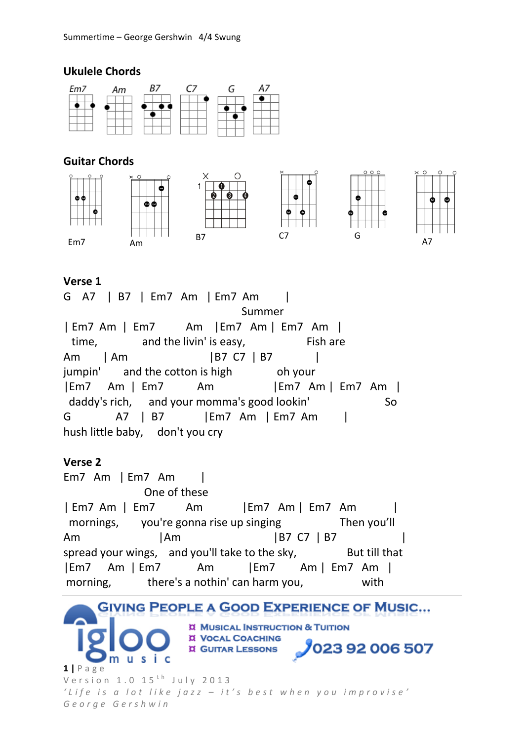### **Ukulele Chords**



# **Guitar Chords**



#### **Verse 1**

G A7 | B7 | Em7 Am | Em7 Am | Summer | Em7 Am | Em7 Am |Em7 Am | Em7 Am | time, and the livin' is easy, Fish are Am | Am | B7 C7 | B7 | jumpin' and the cotton is high oh your |Em7 Am | Em7 Am |Em7 Am | Em7 Am | daddy's rich, and your momma's good lookin' So G A7 | B7 |Em7 Am | Em7 Am | hush little baby, don't you cry

## **Verse 2**

Em7 Am | Em7 Am | One of these | Em7 Am | Em7 Am |Em7 Am | Em7 Am | mornings, you're gonna rise up singing Then you'll Am | Am | B7 C7 | B7 spread your wings, and you'll take to the sky, But till that |Em7 Am | Em7 Am |Em7 Am | Em7 Am | morning, there's a nothin' can harm you, with

**GIVING PEOPLE A GOOD EXPERIENCE OF MUSIC... II MUSICAL INSTRUCTION & TUITION IX VOCAL COACHING 023 92 006 507 I GUITAR LESSONS** S i c u. **1 |** P a g e V e r s i o n  $1.0$   $15$ <sup>th</sup> July 2013 *' L i f e i s a l o t l i k e j a z z – i t ' s b e s t w h e n y o u i m p r o v i s e ' G e o r g e G e r s h w i n*